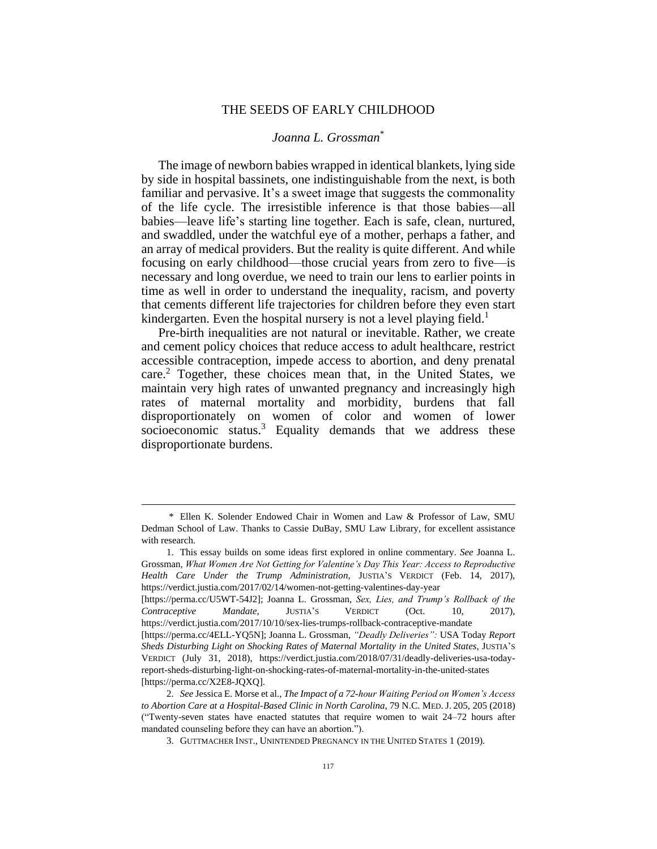# THE SEEDS OF EARLY CHILDHOOD

# *Joanna L. Grossman*\*

The image of newborn babies wrapped in identical blankets, lying side by side in hospital bassinets, one indistinguishable from the next, is both familiar and pervasive. It's a sweet image that suggests the commonality of the life cycle. The irresistible inference is that those babies—all babies—leave life's starting line together. Each is safe, clean, nurtured, and swaddled, under the watchful eye of a mother, perhaps a father, and an array of medical providers. But the reality is quite different. And while focusing on early childhood—those crucial years from zero to five—is necessary and long overdue, we need to train our lens to earlier points in time as well in order to understand the inequality, racism, and poverty that cements different life trajectories for children before they even start kindergarten. Even the hospital nursery is not a level playing field.<sup>1</sup>

Pre-birth inequalities are not natural or inevitable. Rather, we create and cement policy choices that reduce access to adult healthcare, restrict accessible contraception, impede access to abortion, and deny prenatal care.<sup>2</sup> Together, these choices mean that, in the United States, we maintain very high rates of unwanted pregnancy and increasingly high rates of maternal mortality and morbidity, burdens that fall disproportionately on women of color and women of lower socioeconomic status.<sup>3</sup> Equality demands that we address these disproportionate burdens.

 $\overline{a}$ 

1. This essay builds on some ideas first explored in online commentary. *See* Joanna L. Grossman, *What Women Are Not Getting for Valentine's Day This Year: Access to Reproductive Health Care Under the Trump Administration*, JUSTIA'S VERDICT (Feb. 14, 2017), https://verdict.justia.com/2017/02/14/women-not-getting-valentines-day-year [https://perma.cc/U5WT-54J2]; Joanna L. Grossman, *Sex, Lies, and Trump's Rollback of the* 

*Contraceptive Mandate*, JUSTIA'S VERDICT (Oct. 10, 2017), https://verdict.justia.com/2017/10/10/sex-lies-trumps-rollback-contraceptive-mandate [https://perma.cc/4ELL-YQ5N]; Joanna L. Grossman, *"Deadly Deliveries":* USA Today *Report* 

<sup>\*</sup> Ellen K. Solender Endowed Chair in Women and Law & Professor of Law, SMU Dedman School of Law. Thanks to Cassie DuBay, SMU Law Library, for excellent assistance with research.

*Sheds Disturbing Light on Shocking Rates of Maternal Mortality in the United States*, JUSTIA'S VERDICT (July 31, 2018), https://verdict.justia.com/2018/07/31/deadly-deliveries-usa-todayreport-sheds-disturbing-light-on-shocking-rates-of-maternal-mortality-in-the-united-states [https://perma.cc/X2E8-JQXQ].

<sup>2.</sup> *See* Jessica E. Morse et al., *The Impact of a 72-hour Waiting Period on Women's Access to Abortion Care at a Hospital-Based Clinic in North Carolina*, 79 N.C. MED. J. 205, 205 (2018) ("Twenty-seven states have enacted statutes that require women to wait 24–72 hours after mandated counseling before they can have an abortion.").

<sup>3.</sup> GUTTMACHER INST., UNINTENDED PREGNANCY IN THE UNITED STATES 1 (2019).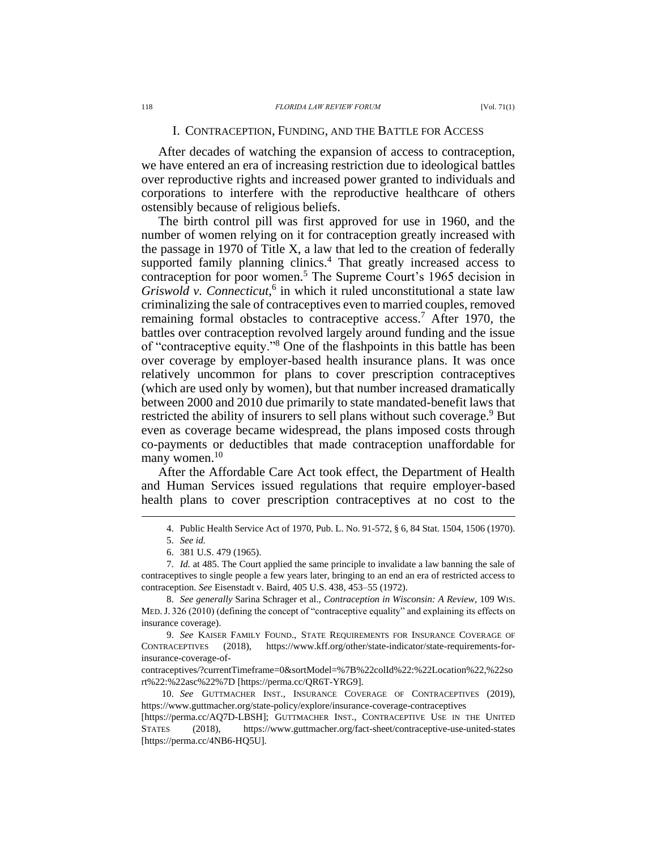# I. CONTRACEPTION, FUNDING, AND THE BATTLE FOR ACCESS

After decades of watching the expansion of access to contraception, we have entered an era of increasing restriction due to ideological battles over reproductive rights and increased power granted to individuals and corporations to interfere with the reproductive healthcare of others ostensibly because of religious beliefs.

The birth control pill was first approved for use in 1960, and the number of women relying on it for contraception greatly increased with the passage in 1970 of Title X, a law that led to the creation of federally supported family planning clinics.<sup>4</sup> That greatly increased access to contraception for poor women.<sup>5</sup> The Supreme Court's 1965 decision in *Griswold v. Connecticut*, 6 in which it ruled unconstitutional a state law criminalizing the sale of contraceptives even to married couples, removed remaining formal obstacles to contraceptive access.<sup>7</sup> After 1970, the battles over contraception revolved largely around funding and the issue of "contraceptive equity." <sup>8</sup> One of the flashpoints in this battle has been over coverage by employer-based health insurance plans. It was once relatively uncommon for plans to cover prescription contraceptives (which are used only by women), but that number increased dramatically between 2000 and 2010 due primarily to state mandated-benefit laws that restricted the ability of insurers to sell plans without such coverage.<sup>9</sup> But even as coverage became widespread, the plans imposed costs through co-payments or deductibles that made contraception unaffordable for many women.<sup>10</sup>

After the Affordable Care Act took effect, the Department of Health and Human Services issued regulations that require employer-based health plans to cover prescription contraceptives at no cost to the

<sup>4.</sup> Public Health Service Act of 1970, Pub. L. No. 91-572, § 6, 84 Stat. 1504, 1506 (1970).

<sup>5.</sup> *See id.*

<sup>6.</sup> 381 U.S. 479 (1965).

<sup>7.</sup> *Id.* at 485. The Court applied the same principle to invalidate a law banning the sale of contraceptives to single people a few years later, bringing to an end an era of restricted access to contraception. *See* Eisenstadt v. Baird, 405 U.S. 438, 453–55 (1972).

<sup>8.</sup> *See generally* Sarina Schrager et al., *Contraception in Wisconsin: A Review*, 109 WIS. MED.J. 326 (2010) (defining the concept of "contraceptive equality" and explaining its effects on insurance coverage).

<sup>9.</sup> *See* KAISER FAMILY FOUND., STATE REQUIREMENTS FOR INSURANCE COVERAGE OF CONTRACEPTIVES (2018), https://www.kff.org/other/state-indicator/state-requirements-forinsurance-coverage-of-

contraceptives/?currentTimeframe=0&sortModel=%7B%22colId%22:%22Location%22,%22so rt%22:%22asc%22%7D [https://perma.cc/QR6T-YRG9].

<sup>10.</sup> *See* GUTTMACHER INST., INSURANCE COVERAGE OF CONTRACEPTIVES (2019), https://www.guttmacher.org/state-policy/explore/insurance-coverage-contraceptives

<sup>[</sup>https://perma.cc/AQ7D-LBSH]; GUTTMACHER INST., CONTRACEPTIVE USE IN THE UNITED STATES (2018), https://www.guttmacher.org/fact-sheet/contraceptive-use-united-states [https://perma.cc/4NB6-HQ5U].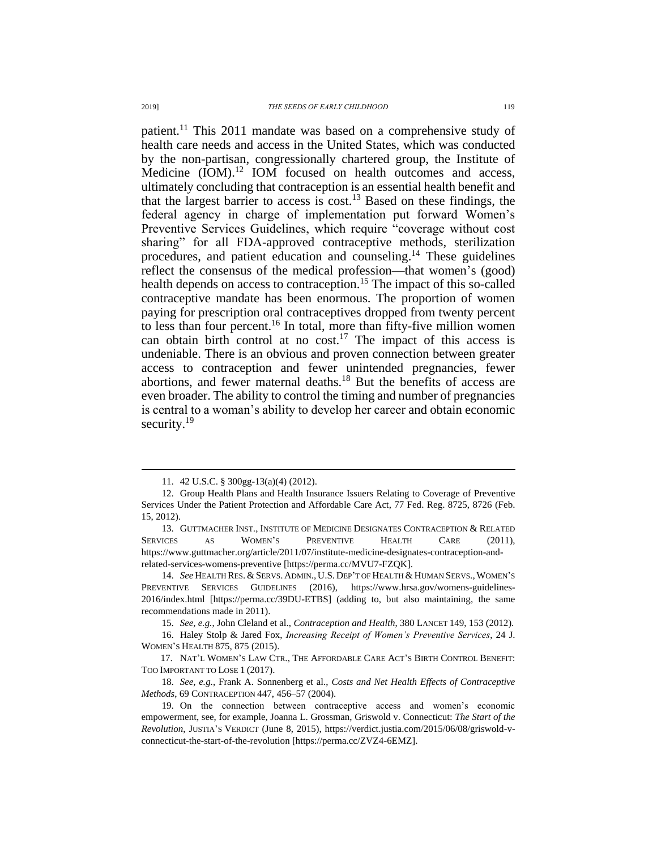patient.<sup>11</sup> This 2011 mandate was based on a comprehensive study of health care needs and access in the United States, which was conducted by the non-partisan, congressionally chartered group, the Institute of Medicine  $(IOM).<sup>12</sup> IOM$  focused on health outcomes and access, ultimately concluding that contraception is an essential health benefit and that the largest barrier to access is cost.<sup>13</sup> Based on these findings, the federal agency in charge of implementation put forward Women's Preventive Services Guidelines, which require "coverage without cost sharing" for all FDA-approved contraceptive methods, sterilization procedures, and patient education and counseling. <sup>14</sup> These guidelines reflect the consensus of the medical profession—that women's (good) health depends on access to contraception.<sup>15</sup> The impact of this so-called contraceptive mandate has been enormous. The proportion of women paying for prescription oral contraceptives dropped from twenty percent to less than four percent.<sup>16</sup> In total, more than fifty-five million women can obtain birth control at no cost.<sup>17</sup> The impact of this access is undeniable. There is an obvious and proven connection between greater access to contraception and fewer unintended pregnancies, fewer abortions, and fewer maternal deaths.<sup>18</sup> But the benefits of access are even broader. The ability to control the timing and number of pregnancies is central to a woman's ability to develop her career and obtain economic security.<sup>19</sup>

<sup>11.</sup> 42 U.S.C. § 300gg-13(a)(4) (2012).

<sup>12.</sup> Group Health Plans and Health Insurance Issuers Relating to Coverage of Preventive Services Under the Patient Protection and Affordable Care Act, 77 Fed. Reg. 8725, 8726 (Feb. 15, 2012).

<sup>13.</sup> GUTTMACHER INST., INSTITUTE OF MEDICINE DESIGNATES CONTRACEPTION & RELATED SERVICES AS WOMEN'S PREVENTIVE HEALTH CARE (2011), https://www.guttmacher.org/article/2011/07/institute-medicine-designates-contraception-andrelated-services-womens-preventive [https://perma.cc/MVU7-FZQK].

<sup>14.</sup> See HEALTH RES. & SERVS. ADMIN., U.S. DEP'T OF HEALTH & HUMAN SERVS., WOMEN'S PREVENTIVE SERVICES GUIDELINES (2016), https://www.hrsa.gov/womens-guidelines-2016/index.html [https://perma.cc/39DU-ETBS] (adding to, but also maintaining, the same recommendations made in 2011).

<sup>15.</sup> *See, e.g.*, John Cleland et al., *Contraception and Health*, 380 LANCET 149, 153 (2012).

<sup>16.</sup> Haley Stolp & Jared Fox, *Increasing Receipt of Women's Preventive Services*, 24 J. WOMEN'S HEALTH 875, 875 (2015).

<sup>17.</sup> NAT'L WOMEN'S LAW CTR., THE AFFORDABLE CARE ACT'S BIRTH CONTROL BENEFIT: TOO IMPORTANT TO LOSE 1 (2017).

<sup>18.</sup> *See, e.g.*, Frank A. Sonnenberg et al., *Costs and Net Health Effects of Contraceptive Methods*, 69 CONTRACEPTION 447, 456–57 (2004).

<sup>19.</sup> On the connection between contraceptive access and women's economic empowerment, see, for example, Joanna L. Grossman, Griswold v. Connecticut: *The Start of the Revolution*, JUSTIA'S VERDICT (June 8, 2015), https://verdict.justia.com/2015/06/08/griswold-vconnecticut-the-start-of-the-revolution [https://perma.cc/ZVZ4-6EMZ].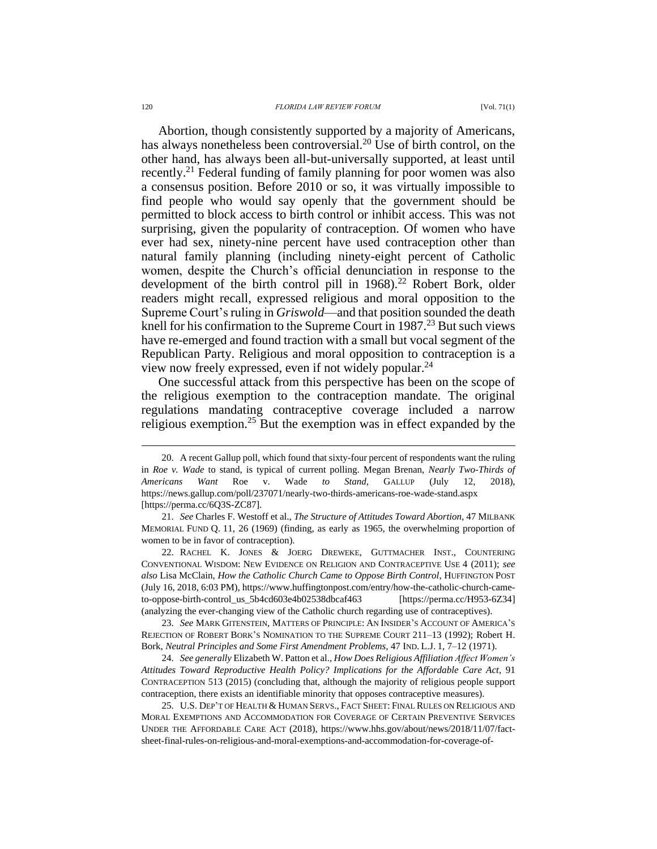#### 120 *FLORIDA LAW REVIEW FORUM* [Vol. 71(1)

Abortion, though consistently supported by a majority of Americans, has always nonetheless been controversial.<sup>20</sup> Use of birth control, on the other hand, has always been all-but-universally supported, at least until recently.<sup>21</sup> Federal funding of family planning for poor women was also a consensus position. Before 2010 or so, it was virtually impossible to find people who would say openly that the government should be permitted to block access to birth control or inhibit access. This was not surprising, given the popularity of contraception. Of women who have ever had sex, ninety-nine percent have used contraception other than natural family planning (including ninety-eight percent of Catholic women, despite the Church's official denunciation in response to the development of the birth control pill in  $1968$ <sup>22</sup> Robert Bork, older readers might recall, expressed religious and moral opposition to the Supreme Court's ruling in *Griswold*—and that position sounded the death knell for his confirmation to the Supreme Court in  $1987<sup>23</sup>$  But such views have re-emerged and found traction with a small but vocal segment of the Republican Party. Religious and moral opposition to contraception is a view now freely expressed, even if not widely popular.<sup>24</sup>

One successful attack from this perspective has been on the scope of the religious exemption to the contraception mandate. The original regulations mandating contraceptive coverage included a narrow religious exemption.<sup>25</sup> But the exemption was in effect expanded by the

23. *See* MARK GITENSTEIN, MATTERS OF PRINCIPLE: AN INSIDER'S ACCOUNT OF AMERICA'S REJECTION OF ROBERT BORK'S NOMINATION TO THE SUPREME COURT 211–13 (1992); Robert H. Bork, *Neutral Principles and Some First Amendment Problems*, 47 IND. L.J. 1, 7–12 (1971).

24. *See generally* Elizabeth W. Patton et al., *How Does Religious Affiliation Affect Women's Attitudes Toward Reproductive Health Policy? Implications for the Affordable Care Act*, 91 CONTRACEPTION 513 (2015) (concluding that, although the majority of religious people support contraception, there exists an identifiable minority that opposes contraceptive measures).

25. U.S. DEP'T OF HEALTH & HUMAN SERVS., FACT SHEET: FINAL RULES ON RELIGIOUS AND MORAL EXEMPTIONS AND ACCOMMODATION FOR COVERAGE OF CERTAIN PREVENTIVE SERVICES UNDER THE AFFORDABLE CARE ACT (2018), https://www.hhs.gov/about/news/2018/11/07/factsheet-final-rules-on-religious-and-moral-exemptions-and-accommodation-for-coverage-of-

<sup>20.</sup> A recent Gallup poll, which found that sixty-four percent of respondents want the ruling in *Roe v. Wade* to stand, is typical of current polling. Megan Brenan, *Nearly Two-Thirds of Americans Want* Roe v. Wade *to Stand*, GALLUP (July 12, 2018), https://news.gallup.com/poll/237071/nearly-two-thirds-americans-roe-wade-stand.aspx [https://perma.cc/6Q3S-ZC87].

<sup>21.</sup> *See* Charles F. Westoff et al., *The Structure of Attitudes Toward Abortion*, 47 MILBANK MEMORIAL FUND Q. 11, 26 (1969) (finding, as early as 1965, the overwhelming proportion of women to be in favor of contraception).

<sup>22.</sup> RACHEL K. JONES & JOERG DREWEKE, GUTTMACHER INST., COUNTERING CONVENTIONAL WISDOM: NEW EVIDENCE ON RELIGION AND CONTRACEPTIVE USE 4 (2011); *see also* Lisa McClain, *How the Catholic Church Came to Oppose Birth Control*, HUFFINGTON POST (July 16, 2018, 6:03 PM), https://www.huffingtonpost.com/entry/how-the-catholic-church-cameto-oppose-birth-control\_us\_5b4cd603e4b02538dbcaf463 [https://perma.cc/H953-6Z34] (analyzing the ever-changing view of the Catholic church regarding use of contraceptives).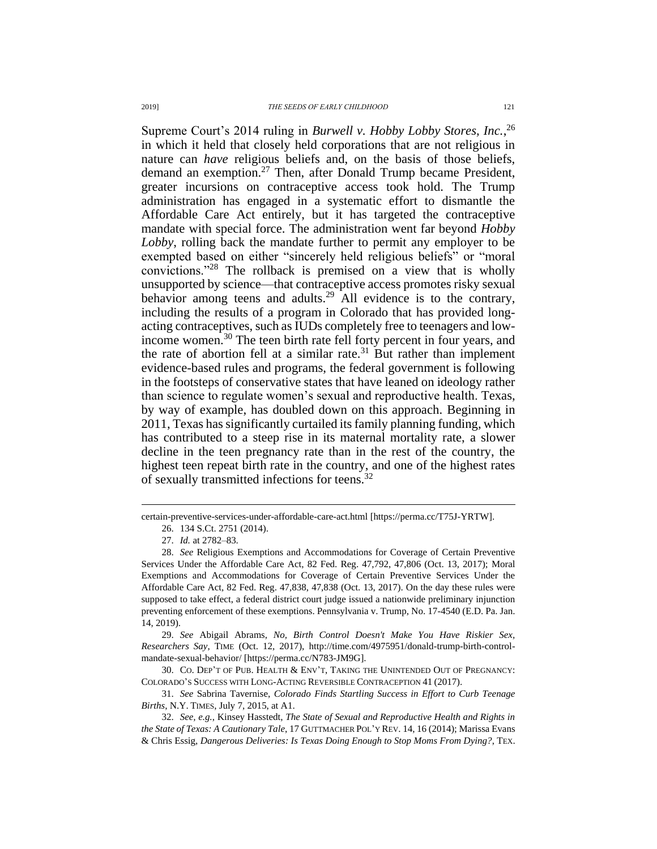Supreme Court's 2014 ruling in *Burwell v. Hobby Lobby Stores, Inc.*, 26 in which it held that closely held corporations that are not religious in nature can *have* religious beliefs and, on the basis of those beliefs, demand an exemption.<sup>27</sup> Then, after Donald Trump became President, greater incursions on contraceptive access took hold. The Trump administration has engaged in a systematic effort to dismantle the Affordable Care Act entirely, but it has targeted the contraceptive mandate with special force. The administration went far beyond *Hobby Lobby*, rolling back the mandate further to permit any employer to be exempted based on either "sincerely held religious beliefs" or "moral convictions."<sup>28</sup> The rollback is premised on a view that is wholly unsupported by science—that contraceptive access promotes risky sexual behavior among teens and adults.<sup>29</sup> All evidence is to the contrary, including the results of a program in Colorado that has provided longacting contraceptives, such as IUDs completely free to teenagers and lowincome women.<sup>30</sup> The teen birth rate fell forty percent in four years, and the rate of abortion fell at a similar rate. $31$  But rather than implement evidence-based rules and programs, the federal government is following in the footsteps of conservative states that have leaned on ideology rather than science to regulate women's sexual and reproductive health. Texas, by way of example, has doubled down on this approach. Beginning in 2011, Texas has significantly curtailed its family planning funding, which has contributed to a steep rise in its maternal mortality rate, a slower decline in the teen pregnancy rate than in the rest of the country, the highest teen repeat birth rate in the country, and one of the highest rates of sexually transmitted infections for teens.<sup>32</sup>

 $\overline{a}$ 

29. *See* Abigail Abrams, *No, Birth Control Doesn't Make You Have Riskier Sex, Researchers Say*, TIME (Oct. 12, 2017), http://time.com/4975951/donald-trump-birth-controlmandate-sexual-behavior/ [https://perma.cc/N783-JM9G].

30. CO. DEP'T OF PUB. HEALTH & ENV'T, TAKING THE UNINTENDED OUT OF PREGNANCY: COLORADO'S SUCCESS WITH LONG-ACTING REVERSIBLE CONTRACEPTION 41 (2017).

31. *See* Sabrina Tavernise, *Colorado Finds Startling Success in Effort to Curb Teenage Births*, N.Y. TIMES, July 7, 2015, at A1.

certain-preventive-services-under-affordable-care-act.html [https://perma.cc/T75J-YRTW]. 26. 134 S.Ct. 2751 (2014).

<sup>27.</sup> *Id.* at 2782–83.

<sup>28.</sup> *See* Religious Exemptions and Accommodations for Coverage of Certain Preventive Services Under the Affordable Care Act, 82 Fed. Reg. 47,792, 47,806 (Oct. 13, 2017); Moral Exemptions and Accommodations for Coverage of Certain Preventive Services Under the Affordable Care Act, 82 Fed. Reg. 47,838, 47,838 (Oct. 13, 2017). On the day these rules were supposed to take effect, a federal district court judge issued a nationwide preliminary injunction preventing enforcement of these exemptions. Pennsylvania v. Trump, No. 17-4540 (E.D. Pa. Jan. 14, 2019).

<sup>32.</sup> *See, e.g.*, Kinsey Hasstedt, *The State of Sexual and Reproductive Health and Rights in the State of Texas: A Cautionary Tale*, 17 GUTTMACHER POL'Y REV. 14, 16 (2014); Marissa Evans & Chris Essig, *Dangerous Deliveries: Is Texas Doing Enough to Stop Moms From Dying?*, TEX.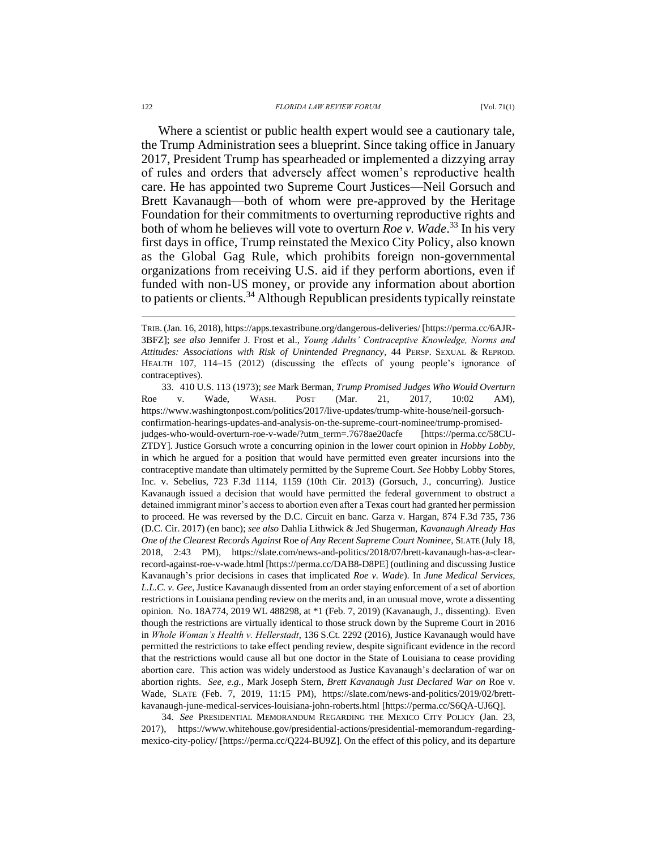#### 122 *FLORIDA LAW REVIEW FORUM* [Vol. 71(1)

Where a scientist or public health expert would see a cautionary tale, the Trump Administration sees a blueprint. Since taking office in January 2017, President Trump has spearheaded or implemented a dizzying array of rules and orders that adversely affect women's reproductive health care. He has appointed two Supreme Court Justices—Neil Gorsuch and Brett Kavanaugh—both of whom were pre-approved by the Heritage Foundation for their commitments to overturning reproductive rights and both of whom he believes will vote to overturn *Roe v. Wade*. <sup>33</sup> In his very first days in office, Trump reinstated the Mexico City Policy, also known as the Global Gag Rule, which prohibits foreign non-governmental organizations from receiving U.S. aid if they perform abortions, even if funded with non-US money, or provide any information about abortion to patients or clients.<sup>34</sup> Although Republican presidents typically reinstate

33. 410 U.S. 113 (1973); *see* Mark Berman, *Trump Promised Judges Who Would Overturn*  Roe v. Wade, WASH. POST (Mar. 21, 2017, 10:02 AM), https://www.washingtonpost.com/politics/2017/live-updates/trump-white-house/neil-gorsuchconfirmation-hearings-updates-and-analysis-on-the-supreme-court-nominee/trump-promisedjudges-who-would-overturn-roe-v-wade/?utm\_term=.7678ae20acfe [https://perma.cc/58CU-ZTDY]. Justice Gorsuch wrote a concurring opinion in the lower court opinion in *Hobby Lobby*, in which he argued for a position that would have permitted even greater incursions into the contraceptive mandate than ultimately permitted by the Supreme Court. *See* Hobby Lobby Stores, Inc. v. Sebelius, 723 F.3d 1114, 1159 (10th Cir. 2013) (Gorsuch, J., concurring). Justice Kavanaugh issued a decision that would have permitted the federal government to obstruct a detained immigrant minor's access to abortion even after a Texas court had granted her permission to proceed. He was reversed by the D.C. Circuit en banc. Garza v. Hargan, 874 F.3d 735, 736 (D.C. Cir. 2017) (en banc); *see also* Dahlia Lithwick & Jed Shugerman, *Kavanaugh Already Has One of the Clearest Records Against* Roe *of Any Recent Supreme Court Nominee*, SLATE (July 18, 2018, 2:43 PM), https://slate.com/news-and-politics/2018/07/brett-kavanaugh-has-a-clearrecord-against-roe-v-wade.html [https://perma.cc/DAB8-D8PE] (outlining and discussing Justice Kavanaugh's prior decisions in cases that implicated *Roe v. Wade*). In *June Medical Services, L.L.C. v. Gee*, Justice Kavanaugh dissented from an order staying enforcement of a set of abortion restrictions in Louisiana pending review on the merits and, in an unusual move, wrote a dissenting opinion. No. 18A774, 2019 WL 488298, at \*1 (Feb. 7, 2019) (Kavanaugh, J., dissenting). Even though the restrictions are virtually identical to those struck down by the Supreme Court in 2016 in *Whole Woman's Health v. Hellerstadt*, 136 S.Ct. 2292 (2016), Justice Kavanaugh would have permitted the restrictions to take effect pending review, despite significant evidence in the record that the restrictions would cause all but one doctor in the State of Louisiana to cease providing abortion care. This action was widely understood as Justice Kavanaugh's declaration of war on abortion rights. *See, e.g.*, Mark Joseph Stern, *Brett Kavanaugh Just Declared War on* Roe v. Wade, SLATE (Feb. 7, 2019, 11:15 PM), https://slate.com/news-and-politics/2019/02/brettkavanaugh-june-medical-services-louisiana-john-roberts.html [https://perma.cc/S6QA-UJ6Q].

34. *See* PRESIDENTIAL MEMORANDUM REGARDING THE MEXICO CITY POLICY (Jan. 23, 2017), [https://www.whitehouse.gov/presidential-actions/presidential-memorandum-regarding](https://www.whitehouse.gov/presidential-actions/presidential-memorandum-regarding-mexico-city-policy/)[mexico-city-policy/](https://www.whitehouse.gov/presidential-actions/presidential-memorandum-regarding-mexico-city-policy/) [https://perma.cc/Q224-BU9Z]. On the effect of this policy, and its departure

TRIB.(Jan. 16, 2018), https://apps.texastribune.org/dangerous-deliveries/ [https://perma.cc/6AJR-3BFZ]; *see also* Jennifer J. Frost et al., *Young Adults' Contraceptive Knowledge, Norms and Attitudes: Associations with Risk of Unintended Pregnancy*, 44 PERSP. SEXUAL & REPROD. HEALTH 107, 114–15 (2012) (discussing the effects of young people's ignorance of contraceptives).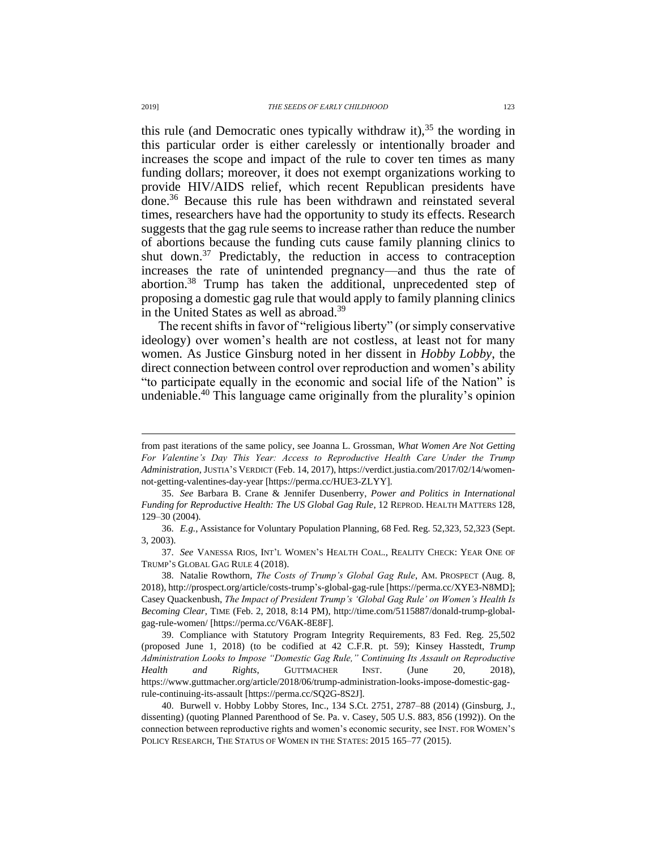this rule (and Democratic ones typically withdraw it),  $35$  the wording in this particular order is either carelessly or intentionally broader and increases the scope and impact of the rule to cover ten times as many funding dollars; moreover, it does not exempt organizations working to provide HIV/AIDS relief, which recent Republican presidents have done.<sup>36</sup> Because this rule has been withdrawn and reinstated several times, researchers have had the opportunity to study its effects. Research suggests that the gag rule seems to increase rather than reduce the number of abortions because the funding cuts cause family planning clinics to shut down.<sup>37</sup> Predictably, the reduction in access to contraception increases the rate of unintended pregnancy—and thus the rate of abortion. <sup>38</sup> Trump has taken the additional, unprecedented step of proposing a domestic gag rule that would apply to family planning clinics in the United States as well as abroad.<sup>39</sup>

The recent shifts in favor of "religious liberty" (or simply conservative ideology) over women's health are not costless, at least not for many women. As Justice Ginsburg noted in her dissent in *Hobby Lobby*, the direct connection between control over reproduction and women's ability "to participate equally in the economic and social life of the Nation" is undeniable. <sup>40</sup> This language came originally from the plurality's opinion

from past iterations of the same policy, see Joanna L. Grossman, *What Women Are Not Getting For Valentine's Day This Year: Access to Reproductive Health Care Under the Trump Administration*, JUSTIA'S VERDICT (Feb. 14, 2017), https://verdict.justia.com/2017/02/14/womennot-getting-valentines-day-year [https://perma.cc/HUE3-ZLYY].

<sup>35.</sup> *See* Barbara B. Crane & Jennifer Dusenberry, *Power and Politics in International Funding for Reproductive Health: The US Global Gag Rule*, 12 REPROD. HEALTH MATTERS 128, 129–30 (2004).

<sup>36.</sup> *E.g.*, Assistance for Voluntary Population Planning, 68 Fed. Reg. 52,323, 52,323 (Sept. 3, 2003).

<sup>37.</sup> *See* VANESSA RIOS, INT'L WOMEN'S HEALTH COAL., REALITY CHECK: YEAR ONE OF TRUMP'S GLOBAL GAG RULE 4 (2018).

<sup>38.</sup> Natalie Rowthorn, *The Costs of Trump's Global Gag Rule*, AM. PROSPECT (Aug. 8, 2018)[, http://prospect.org/article/costs-trump's-global-gag-rule](http://prospect.org/article/costs-trump) [https://perma.cc/XYE3-N8MD]; Casey Quackenbush, *The Impact of President Trump's 'Global Gag Rule' on Women's Health Is Becoming Clear*, TIME (Feb. 2, 2018, 8:14 PM), http://time.com/5115887/donald-trump-globalgag-rule-women/ [https://perma.cc/V6AK-8E8F].

<sup>39.</sup> Compliance with Statutory Program Integrity Requirements, 83 Fed. Reg. 25,502 (proposed June 1, 2018) (to be codified at 42 C.F.R. pt. 59); Kinsey Hasstedt, *Trump Administration Looks to Impose "Domestic Gag Rule," Continuing Its Assault on Reproductive Health and Rights*, GUTTMACHER INST. (June 20, 2018), https://www.guttmacher.org/article/2018/06/trump-administration-looks-impose-domestic-gagrule-continuing-its-assault [https://perma.cc/SQ2G-8S2J].

<sup>40.</sup> Burwell v. Hobby Lobby Stores, Inc., 134 S.Ct. 2751, 2787–88 (2014) (Ginsburg, J., dissenting) (quoting Planned Parenthood of Se. Pa. v. Casey, 505 U.S. 883, 856 (1992)). On the connection between reproductive rights and women's economic security, see INST. FOR WOMEN'S POLICY RESEARCH, THE STATUS OF WOMEN IN THE STATES: 2015 165–77 (2015).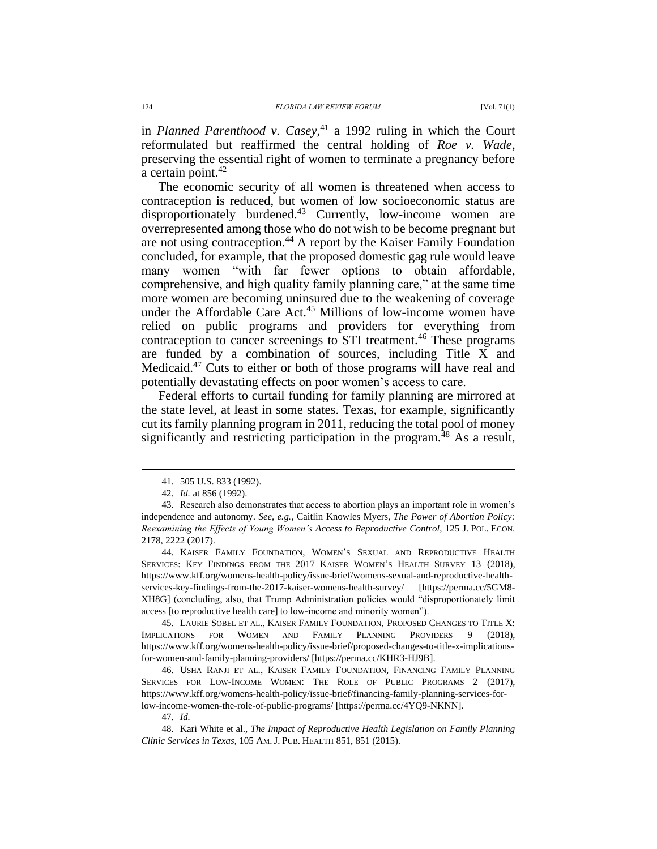in *Planned Parenthood v. Casey*, <sup>41</sup> a 1992 ruling in which the Court reformulated but reaffirmed the central holding of *Roe v. Wade*, preserving the essential right of women to terminate a pregnancy before a certain point. $42$ 

The economic security of all women is threatened when access to contraception is reduced, but women of low socioeconomic status are disproportionately burdened.<sup>43</sup> Currently, low-income women are overrepresented among those who do not wish to be become pregnant but are not using contraception.<sup>44</sup> A report by the Kaiser Family Foundation concluded, for example, that the proposed domestic gag rule would leave many women "with far fewer options to obtain affordable, comprehensive, and high quality family planning care," at the same time more women are becoming uninsured due to the weakening of coverage under the Affordable Care Act.<sup>45</sup> Millions of low-income women have relied on public programs and providers for everything from contraception to cancer screenings to STI treatment.<sup>46</sup> These programs are funded by a combination of sources, including Title X and Medicaid.<sup>47</sup> Cuts to either or both of those programs will have real and potentially devastating effects on poor women's access to care.

Federal efforts to curtail funding for family planning are mirrored at the state level, at least in some states. Texas, for example, significantly cut its family planning program in 2011, reducing the total pool of money significantly and restricting participation in the program.<sup>48</sup> As a result,

 $\overline{a}$ 

44. KAISER FAMILY FOUNDATION, WOMEN'S SEXUAL AND REPRODUCTIVE HEALTH SERVICES: KEY FINDINGS FROM THE 2017 KAISER WOMEN'S HEALTH SURVEY 13 (2018), https://www.kff.org/womens-health-policy/issue-brief/womens-sexual-and-reproductive-healthservices-key-findings-from-the-2017-kaiser-womens-health-survey/ [https://perma.cc/5GM8- XH8G] (concluding, also, that Trump Administration policies would "disproportionately limit access [to reproductive health care] to low-income and minority women").

45. LAURIE SOBEL ET AL., KAISER FAMILY FOUNDATION, PROPOSED CHANGES TO TITLE X: IMPLICATIONS FOR WOMEN AND FAMILY PLANNING PROVIDERS 9 (2018), https://www.kff.org/womens-health-policy/issue-brief/proposed-changes-to-title-x-implicationsfor-women-and-family-planning-providers/ [https://perma.cc/KHR3-HJ9B].

46. USHA RANJI ET AL., KAISER FAMILY FOUNDATION, FINANCING FAMILY PLANNING SERVICES FOR LOW-INCOME WOMEN: THE ROLE OF PUBLIC PROGRAMS 2 (2017), https://www.kff.org/womens-health-policy/issue-brief/financing-family-planning-services-forlow-income-women-the-role-of-public-programs/ [https://perma.cc/4YQ9-NKNN].

47. *Id.*

48. Kari White et al., *The Impact of Reproductive Health Legislation on Family Planning Clinic Services in Texas*, 105 AM. J. PUB. HEALTH 851, 851 (2015).

<sup>41.</sup> 505 U.S. 833 (1992).

<sup>42.</sup> *Id.* at 856 (1992).

<sup>43.</sup> Research also demonstrates that access to abortion plays an important role in women's independence and autonomy. *See, e.g.*, Caitlin Knowles Myers, *The Power of Abortion Policy: Reexamining the Effects of Young Women's Access to Reproductive Control*, 125 J. POL. ECON. 2178, 2222 (2017).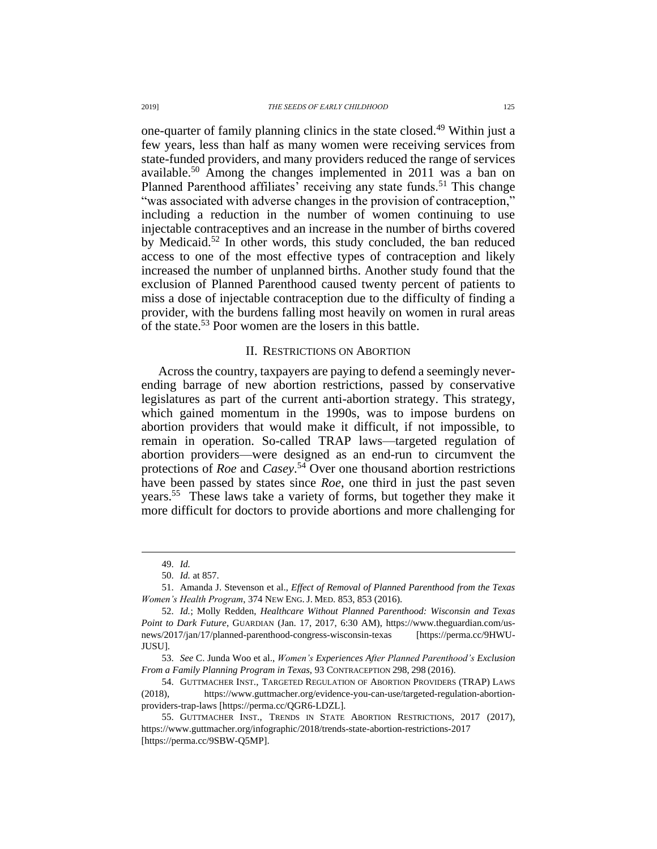one-quarter of family planning clinics in the state closed.<sup>49</sup> Within just a few years, less than half as many women were receiving services from state-funded providers, and many providers reduced the range of services available.<sup>50</sup> Among the changes implemented in 2011 was a ban on Planned Parenthood affiliates' receiving any state funds.<sup>51</sup> This change "was associated with adverse changes in the provision of contraception," including a reduction in the number of women continuing to use injectable contraceptives and an increase in the number of births covered by Medicaid.<sup>52</sup> In other words, this study concluded, the ban reduced access to one of the most effective types of contraception and likely increased the number of unplanned births. Another study found that the exclusion of Planned Parenthood caused twenty percent of patients to miss a dose of injectable contraception due to the difficulty of finding a provider, with the burdens falling most heavily on women in rural areas of the state.<sup>53</sup> Poor women are the losers in this battle.

### II. RESTRICTIONS ON ABORTION

Across the country, taxpayers are paying to defend a seemingly neverending barrage of new abortion restrictions, passed by conservative legislatures as part of the current anti-abortion strategy. This strategy, which gained momentum in the 1990s, was to impose burdens on abortion providers that would make it difficult, if not impossible, to remain in operation. So-called TRAP laws—targeted regulation of abortion providers—were designed as an end-run to circumvent the protections of *Roe* and *Casey*. <sup>54</sup> Over one thousand abortion restrictions have been passed by states since *Roe*, one third in just the past seven years.<sup>55</sup> These laws take a variety of forms, but together they make it more difficult for doctors to provide abortions and more challenging for

<sup>49.</sup> *Id.*

<sup>50.</sup> *Id.* at 857.

<sup>51.</sup> Amanda J. Stevenson et al., *Effect of Removal of Planned Parenthood from the Texas Women's Health Program*, 374 NEW ENG. J. MED. 853, 853 (2016).

<sup>52.</sup> *Id.*; Molly Redden, *Healthcare Without Planned Parenthood: Wisconsin and Texas Point to Dark Future*, GUARDIAN (Jan. 17, 2017, 6:30 AM), https://www.theguardian.com/usnews/2017/jan/17/planned-parenthood-congress-wisconsin-texas [https://perma.cc/9HWU-JUSU].

<sup>53.</sup> *See* C. Junda Woo et al., *Women's Experiences After Planned Parenthood's Exclusion From a Family Planning Program in Texas*, 93 CONTRACEPTION 298, 298 (2016).

<sup>54.</sup> GUTTMACHER INST., TARGETED REGULATION OF ABORTION PROVIDERS (TRAP) LAWS (2018), https://www.guttmacher.org/evidence-you-can-use/targeted-regulation-abortionproviders-trap-laws [https://perma.cc/QGR6-LDZL].

<sup>55.</sup> GUTTMACHER INST., TRENDS IN STATE ABORTION RESTRICTIONS, 2017 (2017), https://www.guttmacher.org/infographic/2018/trends-state-abortion-restrictions-2017 [https://perma.cc/9SBW-Q5MP].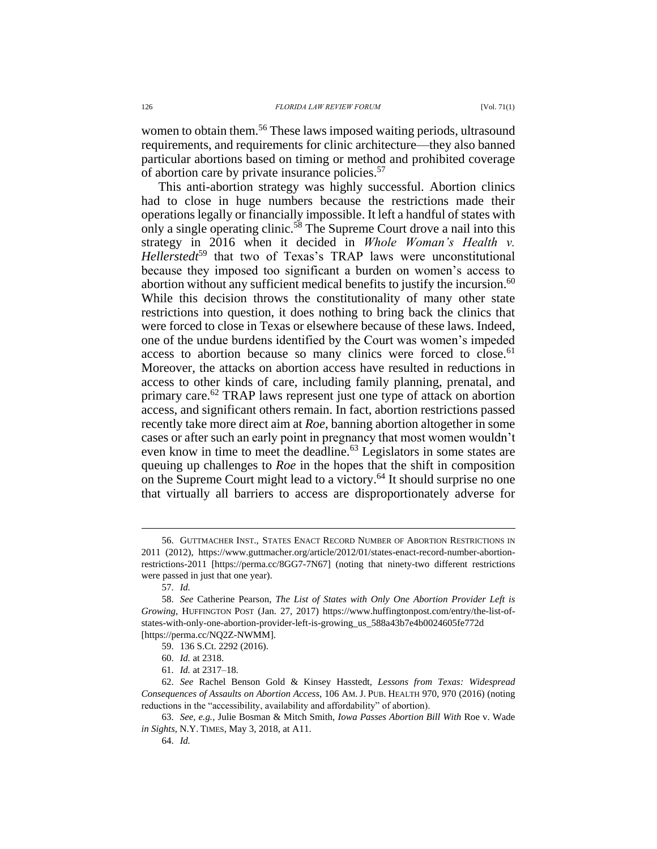women to obtain them.<sup>56</sup> These laws imposed waiting periods, ultrasound requirements, and requirements for clinic architecture––they also banned particular abortions based on timing or method and prohibited coverage of abortion care by private insurance policies.<sup>57</sup>

This anti-abortion strategy was highly successful. Abortion clinics had to close in huge numbers because the restrictions made their operations legally or financially impossible. It left a handful of states with only a single operating clinic.<sup>58</sup> The Supreme Court drove a nail into this strategy in 2016 when it decided in *Whole Woman's Health v. Hellerstedt*<sup>59</sup> that two of Texas's TRAP laws were unconstitutional because they imposed too significant a burden on women's access to abortion without any sufficient medical benefits to justify the incursion.<sup>60</sup> While this decision throws the constitutionality of many other state restrictions into question, it does nothing to bring back the clinics that were forced to close in Texas or elsewhere because of these laws. Indeed, one of the undue burdens identified by the Court was women's impeded access to abortion because so many clinics were forced to close.<sup>61</sup> Moreover, the attacks on abortion access have resulted in reductions in access to other kinds of care, including family planning, prenatal, and primary care.<sup>62</sup> TRAP laws represent just one type of attack on abortion access, and significant others remain. In fact, abortion restrictions passed recently take more direct aim at *Roe*, banning abortion altogether in some cases or after such an early point in pregnancy that most women wouldn't even know in time to meet the deadline.<sup>63</sup> Legislators in some states are queuing up challenges to *Roe* in the hopes that the shift in composition on the Supreme Court might lead to a victory.<sup>64</sup> It should surprise no one that virtually all barriers to access are disproportionately adverse for

<sup>56.</sup> GUTTMACHER INST., STATES ENACT RECORD NUMBER OF ABORTION RESTRICTIONS IN 2011 (2012), [https://www.guttmacher.org/article/2012/01/states-enact-record-number-abortion](https://www.guttmacher.org/article/2012/01/states-enact-record-number-abortion-restrictions-2011)[restrictions-2011](https://www.guttmacher.org/article/2012/01/states-enact-record-number-abortion-restrictions-2011) [https://perma.cc/8GG7-7N67] (noting that ninety-two different restrictions were passed in just that one year).

<sup>57.</sup> *Id.*

<sup>58.</sup> *See* Catherine Pearson, *The List of States with Only One Abortion Provider Left is Growing*, HUFFINGTON POST (Jan. 27, 2017) https://www.huffingtonpost.com/entry/the-list-ofstates-with-only-one-abortion-provider-left-is-growing\_us\_588a43b7e4b0024605fe772d [https://perma.cc/NQ2Z-NWMM].

<sup>59.</sup> 136 S.Ct. 2292 (2016).

<sup>60.</sup> *Id.* at 2318.

<sup>61.</sup> *Id.* at 2317–18.

<sup>62.</sup> *See* Rachel Benson Gold & Kinsey Hasstedt, *Lessons from Texas: Widespread Consequences of Assaults on Abortion Access*, 106 AM. J. PUB. HEALTH 970, 970 (2016) (noting reductions in the "accessibility, availability and affordability" of abortion).

<sup>63.</sup> *See, e.g.,* Julie Bosman & Mitch Smith, *Iowa Passes Abortion Bill With* Roe v. Wade *in Sights*, N.Y. TIMES, May 3, 2018, at A11.

<sup>64.</sup> *Id.*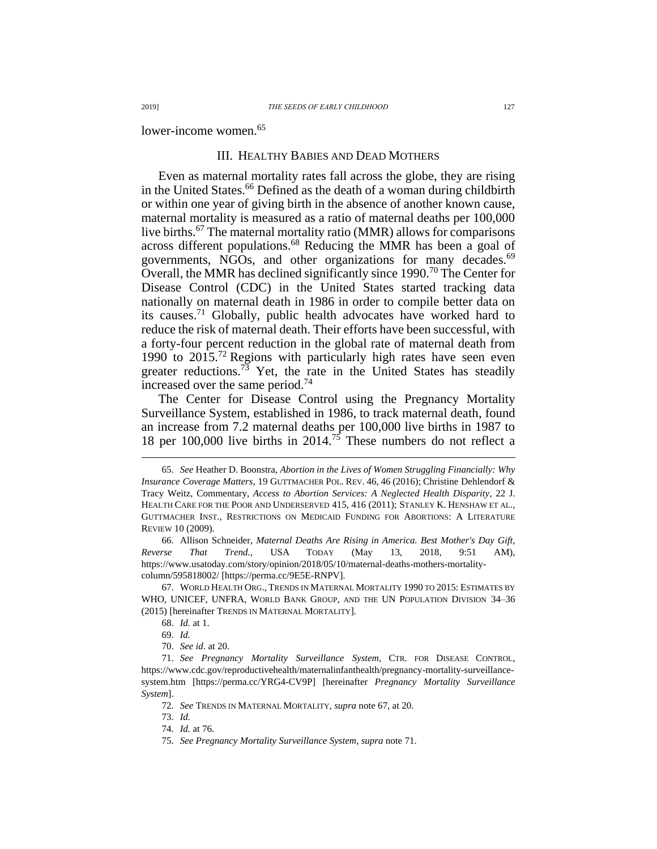lower-income women.<sup>65</sup>

## III. HEALTHY BABIES AND DEAD MOTHERS

<span id="page-10-0"></span>Even as maternal mortality rates fall across the globe, they are rising in the United States.<sup>66</sup> Defined as the death of a woman during childbirth or within one year of giving birth in the absence of another known cause, maternal mortality is measured as a ratio of maternal deaths per 100,000 live births.<sup>67</sup> The maternal mortality ratio (MMR) allows for comparisons across different populations.<sup>68</sup> Reducing the MMR has been a goal of governments, NGOs, and other organizations for many decades.<sup>69</sup> Overall, the MMR has declined significantly since 1990.<sup>70</sup> The Center for Disease Control (CDC) in the United States started tracking data nationally on maternal death in 1986 in order to compile better data on its causes.<sup>71</sup> Globally, public health advocates have worked hard to reduce the risk of maternal death. Their efforts have been successful, with a forty-four percent reduction in the global rate of maternal death from 1990 to 2015.<sup>72</sup> Regions with particularly high rates have seen even greater reductions.<sup>73</sup> Yet, the rate in the United States has steadily increased over the same period.<sup>74</sup>

<span id="page-10-1"></span>The Center for Disease Control using the Pregnancy Mortality Surveillance System, established in 1986, to track maternal death, found an increase from 7.2 maternal deaths per 100,000 live births in 1987 to 18 per 100,000 live births in 2014.<sup>75</sup> These numbers do not reflect a

67. WORLD HEALTH ORG., TRENDS IN MATERNAL MORTALITY 1990 TO 2015: ESTIMATES BY WHO, UNICEF, UNFRA, WORLD BANK GROUP, AND THE UN POPULATION DIVISION 34–36 (2015) [hereinafter TRENDS IN MATERNAL MORTALITY].

<sup>65.</sup> *See* Heather D. Boonstra, *Abortion in the Lives of Women Struggling Financially: Why Insurance Coverage Matters*, 19 GUTTMACHER POL. REV. 46, 46 (2016); Christine Dehlendorf & Tracy Weitz, Commentary, *Access to Abortion Services: A Neglected Health Disparity*, 22 J. HEALTH CARE FOR THE POOR AND UNDERSERVED 415, 416 (2011); STANLEY K. HENSHAW ET AL., GUTTMACHER INST., RESTRICTIONS ON MEDICAID FUNDING FOR ABORTIONS: A LITERATURE REVIEW 10 (2009).

<sup>66.</sup> Allison Schneider, *Maternal Deaths Are Rising in America. Best Mother's Day Gift, Reverse That Trend.*, USA TODAY (May 13, 2018, 9:51 AM), https://www.usatoday.com/story/opinion/2018/05/10/maternal-deaths-mothers-mortalitycolumn/595818002/ [https://perma.cc/9E5E-RNPV].

<sup>68.</sup> *Id.* at 1.

<sup>69.</sup> *Id.*

<sup>70.</sup> *See id*. at 20.

<sup>71.</sup> *See Pregnancy Mortality Surveillance System*, CTR. FOR DISEASE CONTROL, https://www.cdc.gov/reproductivehealth/maternalinfanthealth/pregnancy-mortality-surveillancesystem.htm [https://perma.cc/YRG4-CV9P] [hereinafter *Pregnancy Mortality Surveillance System*].

<sup>72.</sup> *See* TRENDS IN MATERNAL MORTALITY*, supra* note [67,](#page-10-0) at 20.

<sup>73.</sup> *Id.*

<sup>74.</sup> *Id.* at 76.

<sup>75.</sup> *See Pregnancy Mortality Surveillance System*, *supra* note [71.](#page-10-1)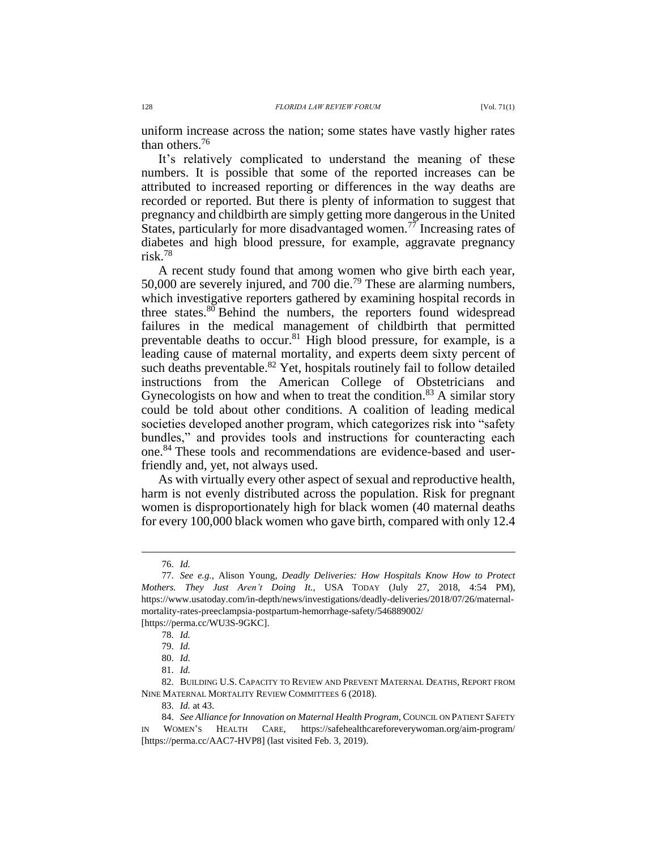uniform increase across the nation; some states have vastly higher rates than others.<sup>76</sup>

It's relatively complicated to understand the meaning of these numbers. It is possible that some of the reported increases can be attributed to increased reporting or differences in the way deaths are recorded or reported. But there is plenty of information to suggest that pregnancy and childbirth are simply getting more dangerous in the United States, particularly for more disadvantaged women.<sup>77</sup> Increasing rates of diabetes and high blood pressure, for example, aggravate pregnancy risk.<sup>78</sup>

A recent study found that among women who give birth each year, 50,000 are severely injured, and 700 die.<sup>79</sup> These are alarming numbers, which investigative reporters gathered by examining hospital records in three states.<sup>80</sup> Behind the numbers, the reporters found widespread failures in the medical management of childbirth that permitted preventable deaths to occur.<sup>81</sup> High blood pressure, for example, is a leading cause of maternal mortality, and experts deem sixty percent of such deaths preventable.<sup>82</sup> Yet, hospitals routinely fail to follow detailed instructions from the American College of Obstetricians and Gynecologists on how and when to treat the condition.<sup>83</sup> A similar story could be told about other conditions. A coalition of leading medical societies developed another program, which categorizes risk into "safety bundles," and provides tools and instructions for counteracting each one.<sup>84</sup> These tools and recommendations are evidence-based and userfriendly and, yet, not always used.

As with virtually every other aspect of sexual and reproductive health, harm is not evenly distributed across the population. Risk for pregnant women is disproportionately high for black women (40 maternal deaths for every 100,000 black women who gave birth, compared with only 12.4

 $\overline{a}$ 

[https://perma.cc/WU3S-9GKC].

<sup>76.</sup> *Id.*

<sup>77.</sup> *See e.g.,* Alison Young, *Deadly Deliveries: How Hospitals Know How to Protect Mothers. They Just Aren't Doing It.*, USA TODAY (July 27, 2018, 4:54 PM), https://www.usatoday.com/in-depth/news/investigations/deadly-deliveries/2018/07/26/maternalmortality-rates-preeclampsia-postpartum-hemorrhage-safety/546889002/

<sup>78.</sup> *Id.*

<sup>79.</sup> *Id.*

<sup>80.</sup> *Id.*

<sup>81.</sup> *Id.*

<sup>82.</sup> BUILDING U.S. CAPACITY TO REVIEW AND PREVENT MATERNAL DEATHS, REPORT FROM NINE MATERNAL MORTALITY REVIEW COMMITTEES 6 (2018).

<sup>83.</sup> *Id.* at 43.

<sup>84.</sup> *See Alliance for Innovation on Maternal Health Program*, COUNCIL ON PATIENT SAFETY IN WOMEN'S HEALTH CARE, https://safehealthcareforeverywoman.org/aim-program/ [https://perma.cc/AAC7-HVP8] (last visited Feb. 3, 2019).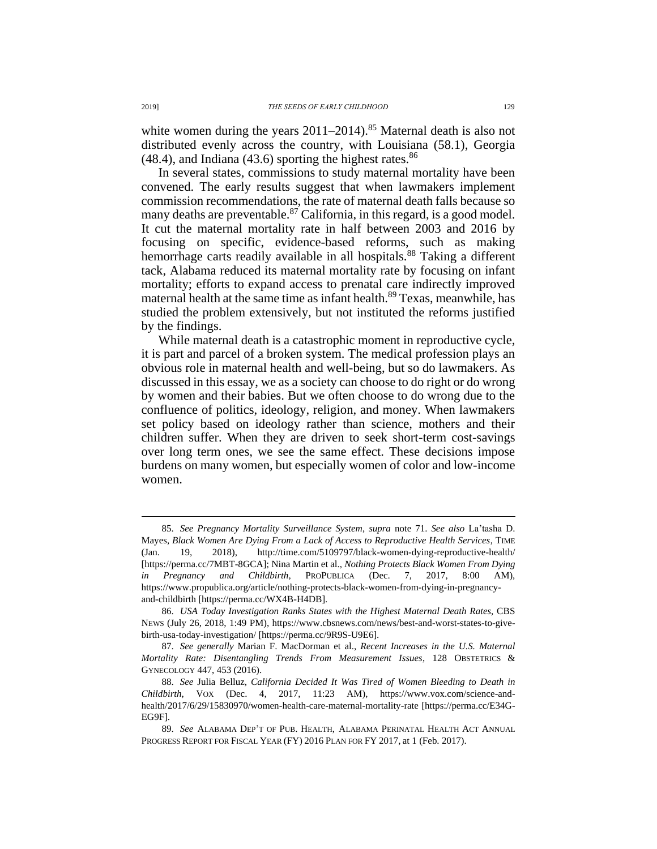white women during the years  $2011-2014$ .<sup>85</sup> Maternal death is also not distributed evenly across the country, with Louisiana (58.1), Georgia  $(48.4)$ , and Indiana  $(43.6)$  sporting the highest rates.<sup>86</sup>

In several states, commissions to study maternal mortality have been convened. The early results suggest that when lawmakers implement commission recommendations, the rate of maternal death falls because so many deaths are preventable. $87$  California, in this regard, is a good model. It cut the maternal mortality rate in half between 2003 and 2016 by focusing on specific, evidence-based reforms, such as making hemorrhage carts readily available in all hospitals.<sup>88</sup> Taking a different tack, Alabama reduced its maternal mortality rate by focusing on infant mortality; efforts to expand access to prenatal care indirectly improved maternal health at the same time as infant health.<sup>89</sup> Texas, meanwhile, has studied the problem extensively, but not instituted the reforms justified by the findings.

While maternal death is a catastrophic moment in reproductive cycle, it is part and parcel of a broken system. The medical profession plays an obvious role in maternal health and well-being, but so do lawmakers. As discussed in this essay, we as a society can choose to do right or do wrong by women and their babies. But we often choose to do wrong due to the confluence of politics, ideology, religion, and money. When lawmakers set policy based on ideology rather than science, mothers and their children suffer. When they are driven to seek short-term cost-savings over long term ones, we see the same effect. These decisions impose burdens on many women, but especially women of color and low-income women.

<sup>85.</sup> *See Pregnancy Mortality Surveillance System*, *supra* note [71.](#page-10-1) *See also* La'tasha D. Mayes, *Black Women Are Dying From a Lack of Access to Reproductive Health Services*, TIME (Jan. 19, 2018), http://time.com/5109797/black-women-dying-reproductive-health/ [https://perma.cc/7MBT-8GCA]; Nina Martin et al., *Nothing Protects Black Women From Dying in Pregnancy and Childbirth*, PROPUBLICA (Dec. 7, 2017, 8:00 AM), https://www.propublica.org/article/nothing-protects-black-women-from-dying-in-pregnancyand-childbirth [https://perma.cc/WX4B-H4DB].

<sup>86.</sup> *USA Today Investigation Ranks States with the Highest Maternal Death Rates*, CBS NEWS (July 26, 2018, 1:49 PM), https://www.cbsnews.com/news/best-and-worst-states-to-givebirth-usa-today-investigation/ [https://perma.cc/9R9S-U9E6].

<sup>87.</sup> *See generally* Marian F. MacDorman et al., *Recent Increases in the U.S. Maternal Mortality Rate: Disentangling Trends From Measurement Issues*, 128 OBSTETRICS & GYNECOLOGY 447, 453 (2016).

<sup>88.</sup> *See* Julia Belluz, *California Decided It Was Tired of Women Bleeding to Death in Childbirth*, VOX (Dec. 4, 2017, 11:23 AM), https://www.vox.com/science-andhealth/2017/6/29/15830970/women-health-care-maternal-mortality-rate [https://perma.cc/E34G-EG9F].

<sup>89.</sup> *See* ALABAMA DEP'T OF PUB. HEALTH, ALABAMA PERINATAL HEALTH ACT ANNUAL PROGRESS REPORT FOR FISCAL YEAR (FY) 2016 PLAN FOR FY 2017, at 1 (Feb. 2017).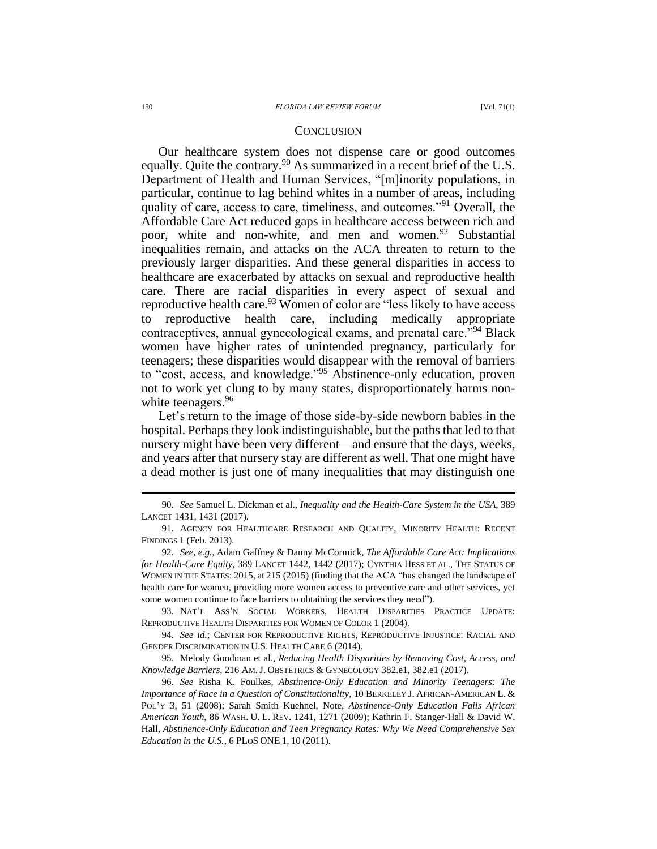### **CONCLUSION**

Our healthcare system does not dispense care or good outcomes equally. Quite the contrary.<sup>90</sup> As summarized in a recent brief of the U.S. Department of Health and Human Services, "[m]inority populations, in particular, continue to lag behind whites in a number of areas, including quality of care, access to care, timeliness, and outcomes."<sup>91</sup> Overall, the Affordable Care Act reduced gaps in healthcare access between rich and poor, white and non-white, and men and women.<sup>92</sup> Substantial inequalities remain, and attacks on the ACA threaten to return to the previously larger disparities. And these general disparities in access to healthcare are exacerbated by attacks on sexual and reproductive health care. There are racial disparities in every aspect of sexual and reproductive health care.<sup>93</sup> Women of color are "less likely to have access" reproductive health care, including medically appropriate contraceptives, annual gynecological exams, and prenatal care."<sup>94</sup> Black women have higher rates of unintended pregnancy, particularly for teenagers; these disparities would disappear with the removal of barriers to "cost, access, and knowledge."<sup>95</sup> Abstinence-only education, proven not to work yet clung to by many states, disproportionately harms nonwhite teenagers.<sup>96</sup>

Let's return to the image of those side-by-side newborn babies in the hospital. Perhaps they look indistinguishable, but the paths that led to that nursery might have been very different—and ensure that the days, weeks, and years after that nursery stay are different as well. That one might have a dead mother is just one of many inequalities that may distinguish one

93. NAT'L ASS'N SOCIAL WORKERS, HEALTH DISPARITIES PRACTICE UPDATE: REPRODUCTIVE HEALTH DISPARITIES FOR WOMEN OF COLOR 1 (2004).

94. *See id.*; CENTER FOR REPRODUCTIVE RIGHTS, REPRODUCTIVE INJUSTICE: RACIAL AND GENDER DISCRIMINATION IN U.S. HEALTH CARE 6 (2014).

95. Melody Goodman et al., *Reducing Health Disparities by Removing Cost, Access, and Knowledge Barriers*, 216 AM. J. OBSTETRICS & GYNECOLOGY 382.e1, 382.e1 (2017).

96. *See* Risha K. Foulkes*, Abstinence-Only Education and Minority Teenagers: The Importance of Race in a Question of Constitutionality*, 10 BERKELEY J. AFRICAN-AMERICAN L. & POL'Y 3, 51 (2008); Sarah Smith Kuehnel, Note, *Abstinence-Only Education Fails African American Youth*, 86 WASH. U. L. REV. 1241, 1271 (2009); Kathrin F. Stanger-Hall & David W. Hall, *Abstinence-Only Education and Teen Pregnancy Rates: Why We Need Comprehensive Sex Education in the U.S.*, 6 PLOS ONE 1, 10 (2011).

<sup>90.</sup> *See* Samuel L. Dickman et al., *Inequality and the Health-Care System in the USA*, 389 LANCET 1431, 1431 (2017).

<sup>91.</sup> AGENCY FOR HEALTHCARE RESEARCH AND QUALITY, MINORITY HEALTH: RECENT FINDINGS 1 (Feb. 2013).

<sup>92.</sup> *See, e.g.*, Adam Gaffney & Danny McCormick, *The Affordable Care Act: Implications for Health-Care Equity*, 389 LANCET 1442, 1442 (2017); CYNTHIA HESS ET AL., THE STATUS OF WOMEN IN THE STATES: 2015, at 215 (2015) (finding that the ACA "has changed the landscape of health care for women, providing more women access to preventive care and other services, yet some women continue to face barriers to obtaining the services they need").